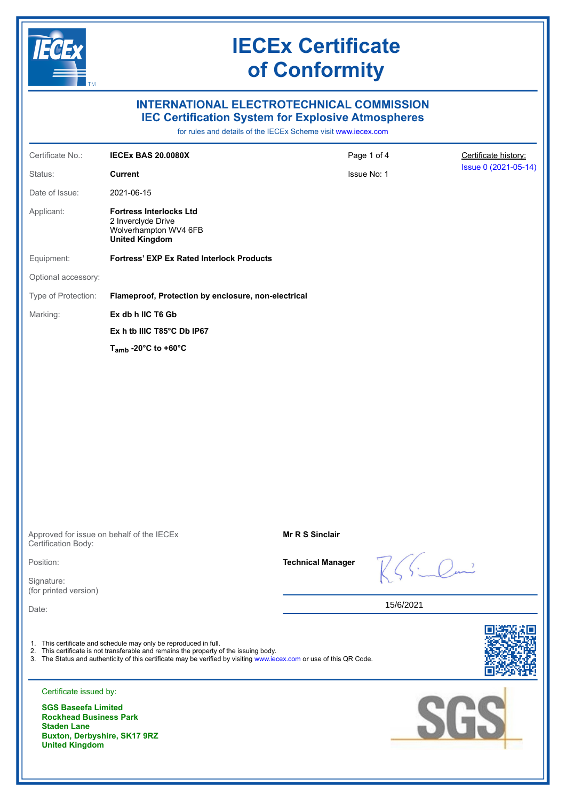

# **IECEx Certificate of Conformity**

### **INTERNATIONAL ELECTROTECHNICAL COMMISSION IEC Certification System for Explosive Atmospheres**

for rules and details of the IECEx Scheme visit [www.iecex.com](https://www.iecex.com)

|                                                                                                              | for rules and details of the IECEX Scheme visit www.lecex.com                                                                                                                                                                                                                     |                          |                          |                                              |
|--------------------------------------------------------------------------------------------------------------|-----------------------------------------------------------------------------------------------------------------------------------------------------------------------------------------------------------------------------------------------------------------------------------|--------------------------|--------------------------|----------------------------------------------|
| Certificate No.:                                                                                             | <b>IECEX BAS 20.0080X</b>                                                                                                                                                                                                                                                         | Page 1 of 4              |                          | Certificate history:<br>Issue 0 (2021-05-14) |
| Status:                                                                                                      | <b>Current</b>                                                                                                                                                                                                                                                                    | Issue No: 1              |                          |                                              |
| Date of Issue:                                                                                               | 2021-06-15                                                                                                                                                                                                                                                                        |                          |                          |                                              |
| Applicant:                                                                                                   | <b>Fortress Interlocks Ltd</b><br>2 Inverclyde Drive<br>Wolverhampton WV4 6FB<br><b>United Kingdom</b>                                                                                                                                                                            |                          |                          |                                              |
| Equipment:                                                                                                   | <b>Fortress' EXP Ex Rated Interlock Products</b>                                                                                                                                                                                                                                  |                          |                          |                                              |
| Optional accessory:                                                                                          |                                                                                                                                                                                                                                                                                   |                          |                          |                                              |
| Type of Protection:                                                                                          | Flameproof, Protection by enclosure, non-electrical                                                                                                                                                                                                                               |                          |                          |                                              |
| Marking:                                                                                                     | Ex db h IIC T6 Gb                                                                                                                                                                                                                                                                 |                          |                          |                                              |
|                                                                                                              | Ex h tb IIIC T85°C Db IP67                                                                                                                                                                                                                                                        |                          |                          |                                              |
|                                                                                                              | T <sub>amb</sub> -20 $^{\circ}$ C to +60 $^{\circ}$ C                                                                                                                                                                                                                             |                          |                          |                                              |
|                                                                                                              |                                                                                                                                                                                                                                                                                   |                          |                          |                                              |
| Certification Body:                                                                                          | Approved for issue on behalf of the IECEx                                                                                                                                                                                                                                         | <b>Mr R S Sinclair</b>   |                          |                                              |
| Position:                                                                                                    |                                                                                                                                                                                                                                                                                   | <b>Technical Manager</b> | $\overline{\phantom{a}}$ |                                              |
| Signature:<br>(for printed version)                                                                          |                                                                                                                                                                                                                                                                                   |                          |                          |                                              |
| Date:                                                                                                        |                                                                                                                                                                                                                                                                                   |                          | 15/6/2021                |                                              |
| Certificate issued by:<br><b>SGS Baseefa Limited</b>                                                         | 1. This certificate and schedule may only be reproduced in full.<br>2. This certificate is not transferable and remains the property of the issuing body.<br>3. The Status and authenticity of this certificate may be verified by visiting www.iecex.com or use of this QR Code. |                          |                          |                                              |
| <b>Rockhead Business Park</b><br><b>Staden Lane</b><br>Buxton, Derbyshire, SK17 9RZ<br><b>United Kingdom</b> |                                                                                                                                                                                                                                                                                   |                          |                          | SGS                                          |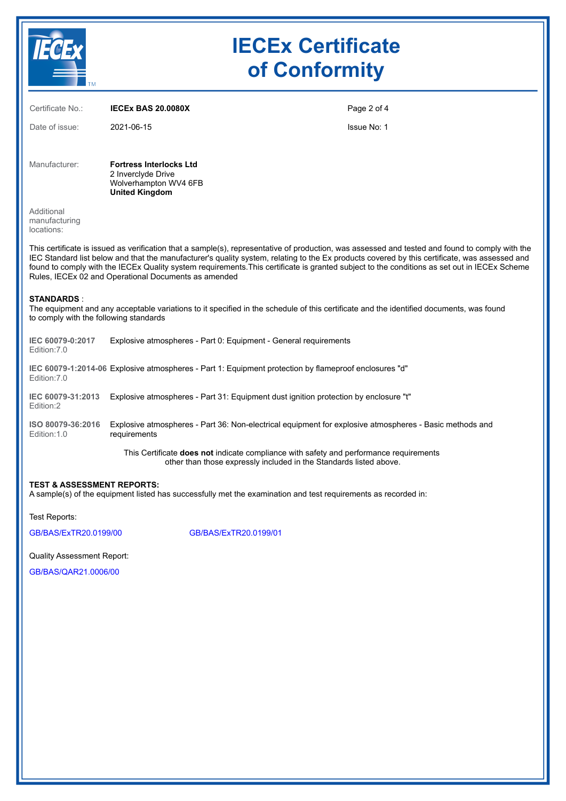|                                                                                                                                                                                                                                                                                                                                                                                                                                                                                                          | <b>IECEx Certificate</b><br>of Conformity                                                              |                                                                                                         |  |  |
|----------------------------------------------------------------------------------------------------------------------------------------------------------------------------------------------------------------------------------------------------------------------------------------------------------------------------------------------------------------------------------------------------------------------------------------------------------------------------------------------------------|--------------------------------------------------------------------------------------------------------|---------------------------------------------------------------------------------------------------------|--|--|
| Certificate No.:                                                                                                                                                                                                                                                                                                                                                                                                                                                                                         | <b>IECEX BAS 20.0080X</b>                                                                              | Page 2 of 4                                                                                             |  |  |
| Date of issue:                                                                                                                                                                                                                                                                                                                                                                                                                                                                                           | 2021-06-15                                                                                             | <b>Issue No: 1</b>                                                                                      |  |  |
| Manufacturer:                                                                                                                                                                                                                                                                                                                                                                                                                                                                                            | <b>Fortress Interlocks Ltd</b><br>2 Inverclyde Drive<br>Wolverhampton WV4 6FB<br><b>United Kingdom</b> |                                                                                                         |  |  |
| Additional<br>manufacturing<br>locations:                                                                                                                                                                                                                                                                                                                                                                                                                                                                |                                                                                                        |                                                                                                         |  |  |
| This certificate is issued as verification that a sample(s), representative of production, was assessed and tested and found to comply with the<br>IEC Standard list below and that the manufacturer's quality system, relating to the Ex products covered by this certificate, was assessed and<br>found to comply with the IECEx Quality system requirements. This certificate is granted subject to the conditions as set out in IECEx Scheme<br>Rules, IECEx 02 and Operational Documents as amended |                                                                                                        |                                                                                                         |  |  |
| <b>STANDARDS:</b><br>The equipment and any acceptable variations to it specified in the schedule of this certificate and the identified documents, was found<br>to comply with the following standards                                                                                                                                                                                                                                                                                                   |                                                                                                        |                                                                                                         |  |  |
| IEC 60079-0:2017<br>Edition: 7.0                                                                                                                                                                                                                                                                                                                                                                                                                                                                         | Explosive atmospheres - Part 0: Equipment - General requirements                                       |                                                                                                         |  |  |
| IEC 60079-1:2014-06 Explosive atmospheres - Part 1: Equipment protection by flameproof enclosures "d"<br>Edition: 7.0                                                                                                                                                                                                                                                                                                                                                                                    |                                                                                                        |                                                                                                         |  |  |
| IEC 60079-31:2013<br>Edition:2                                                                                                                                                                                                                                                                                                                                                                                                                                                                           |                                                                                                        | Explosive atmospheres - Part 31: Equipment dust ignition protection by enclosure "t"                    |  |  |
| ISO 80079-36:2016<br>Edition: 1.0                                                                                                                                                                                                                                                                                                                                                                                                                                                                        | requirements                                                                                           | Explosive atmospheres - Part 36: Non-electrical equipment for explosive atmospheres - Basic methods and |  |  |
| This Certificate does not indicate compliance with safety and performance requirements<br>other than those expressly included in the Standards listed above.                                                                                                                                                                                                                                                                                                                                             |                                                                                                        |                                                                                                         |  |  |
| <b>TEST &amp; ASSESSMENT REPORTS:</b><br>A sample(s) of the equipment listed has successfully met the examination and test requirements as recorded in:                                                                                                                                                                                                                                                                                                                                                  |                                                                                                        |                                                                                                         |  |  |
| Test Reports:                                                                                                                                                                                                                                                                                                                                                                                                                                                                                            |                                                                                                        |                                                                                                         |  |  |
| GB/BAS/ExTR20.0199/00                                                                                                                                                                                                                                                                                                                                                                                                                                                                                    |                                                                                                        | GB/BAS/ExTR20.0199/01                                                                                   |  |  |
| <b>Quality Assessment Report:</b>                                                                                                                                                                                                                                                                                                                                                                                                                                                                        |                                                                                                        |                                                                                                         |  |  |

[GB/BAS/QAR21.0006/00](https://www.iecex-certs.com/deliverables/REPORT/73577/view)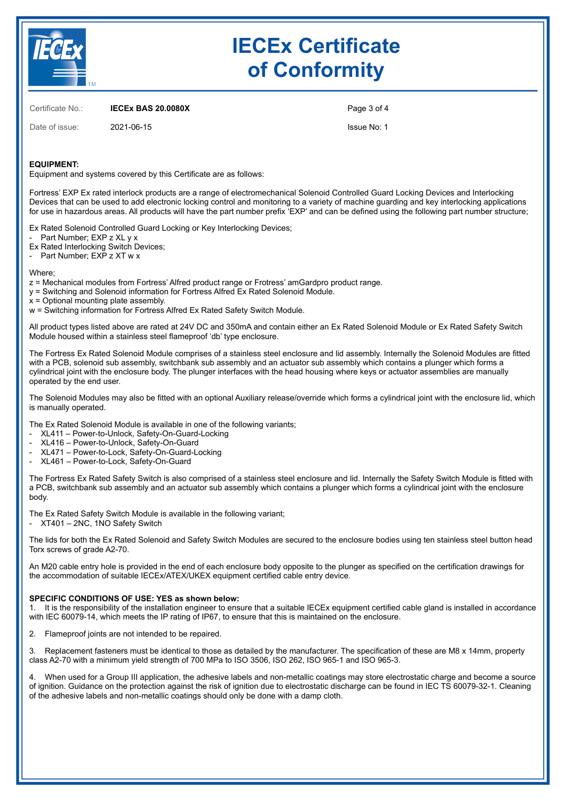

# **IECEx Certificate of Conformity**

Certificate No.: **IECEx BAS 20.0080X**

Date of issue: 2021-06-15

Page 3 of 4

Issue No: 1

### **EQUIPMENT:**

Equipment and systems covered by this Certificate are as follows:

Fortress' EXP Ex rated interlock products are a range of electromechanical Solenoid Controlled Guard Locking Devices and Interlocking Devices that can be used to add electronic locking control and monitoring to a variety of machine guarding and key interlocking applications for use in hazardous areas. All products will have the part number prefix 'EXP' and can be defined using the following part number structure;

Ex Rated Solenoid Controlled Guard Locking or Key Interlocking Devices;

Part Number; EXP z XL y x

Ex Rated Interlocking Switch Devices;

Part Number; EXP z XT w x

Where;

z = Mechanical modules from Fortress' Alfred product range or Frotress' amGardpro product range.

y = Switching and Solenoid information for Fortress Alfred Ex Rated Solenoid Module.

x = Optional mounting plate assembly.

w = Switching information for Fortress Alfred Ex Rated Safety Switch Module.

All product types listed above are rated at 24V DC and 350mA and contain either an Ex Rated Solenoid Module or Ex Rated Safety Switch Module housed within a stainless steel flameproof 'db' type enclosure.

The Fortress Ex Rated Solenoid Module comprises of a stainless steel enclosure and lid assembly. Internally the Solenoid Modules are fitted with a PCB, solenoid sub assembly, switchbank sub assembly and an actuator sub assembly which contains a plunger which forms a cylindrical joint with the enclosure body. The plunger interfaces with the head housing where keys or actuator assemblies are manually operated by the end user.

The Solenoid Modules may also be fitted with an optional Auxiliary release/override which forms a cylindrical joint with the enclosure lid, which is manually operated.

The Ex Rated Solenoid Module is available in one of the following variants;

- XL411 Power-to-Unlock, Safety-On-Guard-Locking
- XL416 Power-to-Unlock, Safety-On-Guard
- XL471 Power-to-Lock, Safety-On-Guard-Locking
- XL461 Power-to-Lock, Safety-On-Guard

The Fortress Ex Rated Safety Switch is also comprised of a stainless steel enclosure and lid. Internally the Safety Switch Module is fitted with a PCB, switchbank sub assembly and an actuator sub assembly which contains a plunger which forms a cylindrical joint with the enclosure body.

The Ex Rated Safety Switch Module is available in the following variant;

- XT401 – 2NC, 1NO Safety Switch

The lids for both the Ex Rated Solenoid and Safety Switch Modules are secured to the enclosure bodies using ten stainless steel button head Torx screws of grade A2-70.

An M20 cable entry hole is provided in the end of each enclosure body opposite to the plunger as specified on the certification drawings for the accommodation of suitable IECEx/ATEX/UKEX equipment certified cable entry device.

### **SPECIFIC CONDITIONS OF USE: YES as shown below:**

1. It is the responsibility of the installation engineer to ensure that a suitable IECEx equipment certified cable gland is installed in accordance with IEC 60079-14, which meets the IP rating of IP67, to ensure that this is maintained on the enclosure.

2. Flameproof joints are not intended to be repaired.

3. Replacement fasteners must be identical to those as detailed by the manufacturer. The specification of these are M8 x 14mm, property class A2-70 with a minimum yield strength of 700 MPa to ISO 3506, ISO 262, ISO 965-1 and ISO 965-3.

When used for a Group III application, the adhesive labels and non-metallic coatings may store electrostatic charge and become a source of ignition. Guidance on the protection against the risk of ignition due to electrostatic discharge can be found in IEC TS 60079-32-1. Cleaning of the adhesive labels and non-metallic coatings should only be done with a damp cloth.